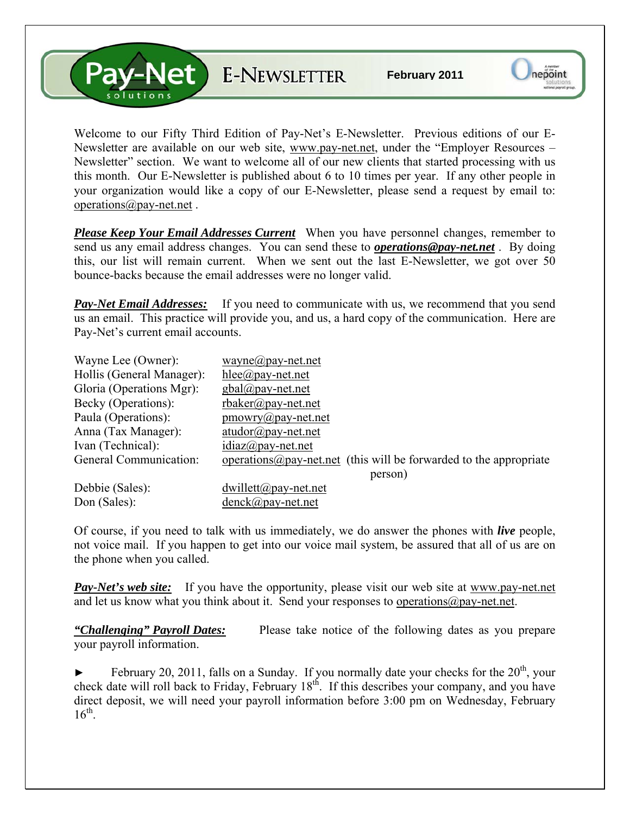**Alet** E-NEWSLETTER

Welcome to our Fifty Third Edition of Pay-Net's E-Newsletter. Previous editions of our E-Newsletter are available on our web site, [www.pay-net.net](http://www.pay-net.net/), under the "Employer Resources – Newsletter" section. We want to welcome all of our new clients that started processing with us this month. Our E-Newsletter is published about 6 to 10 times per year. If any other people in your organization would like a copy of our E-Newsletter, please send a request by email to: [operations@pay-net.net](mailto:operations@pay-net.net) .

*Please Keep Your Email Addresses Current* When you have personnel changes, remember to send us any email address changes. You can send these to *[operations@pay-net.net](mailto:operations@pay-net.net)* . By doing this, our list will remain current. When we sent out the last E-Newsletter, we got over 50 bounce-backs because the email addresses were no longer valid.

**Pay-Net Email Addresses:** If you need to communicate with us, we recommend that you send us an email. This practice will provide you, and us, a hard copy of the communication. Here are Pay-Net's current email accounts.

| Wayne Lee (Owner):        | $wayne(\partial p$ ay-net.net                                              |
|---------------------------|----------------------------------------------------------------------------|
| Hollis (General Manager): | $hlee(\partial p$ ay-net.net                                               |
| Gloria (Operations Mgr):  | $gbal(\partial \rho)$ ay-net.net                                           |
| Becky (Operations):       | $r$ baker@pay-net.net                                                      |
| Paula (Operations):       | $\text{p}$ mowry@pay-net.net                                               |
| Anna (Tax Manager):       | $atudor@pay-net.net$                                                       |
| Ivan (Technical):         | $idiaz(\omega)$ pay-net.net                                                |
| General Communication:    | operations $\omega$ pay-net net (this will be forwarded to the appropriate |
|                           | person)                                                                    |
| Debbie (Sales):           | $dwillett@pay-net.net$                                                     |
| Don (Sales):              | denck@pay-net.net                                                          |

Of course, if you need to talk with us immediately, we do answer the phones with *live* people, not voice mail. If you happen to get into our voice mail system, be assured that all of us are on the phone when you called.

*Pay-Net's web site:* If you have the opportunity, please visit our web site at [www.pay-net.net](http://www.pay-net.net/)  and let us know what you think about it. Send your responses to [operations@pay-net.net](mailto:website@pay-net.net).

*"Challenging" Payroll Dates:* Please take notice of the following dates as you prepare your payroll information.

February 20, 2011, falls on a Sunday. If you normally date your checks for the  $20<sup>th</sup>$ , your check date will roll back to Friday, February 18<sup>th</sup>. If this describes your company, and you have direct deposit, we will need your payroll information before 3:00 pm on Wednesday, February  $16^{th}$ .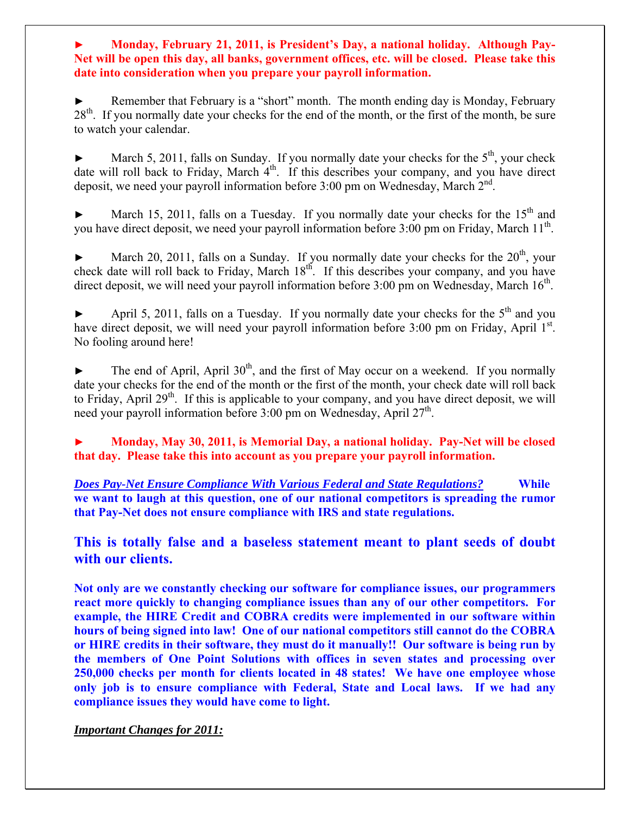**► Monday, February 21, 2011, is President's Day, a national holiday. Although Pay-Net will be open this day, all banks, government offices, etc. will be closed. Please take this date into consideration when you prepare your payroll information.** 

Remember that February is a "short" month. The month ending day is Monday, February  $28<sup>th</sup>$ . If you normally date your checks for the end of the month, or the first of the month, be sure to watch your calendar.

March 5, 2011, falls on Sunday. If you normally date your checks for the  $5<sup>th</sup>$ , your check date will roll back to Friday, March  $4<sup>th</sup>$ . If this describes your company, and you have direct deposit, we need your payroll information before  $3:00$  pm on Wednesday, March  $2<sup>nd</sup>$ .

March 15, 2011, falls on a Tuesday. If you normally date your checks for the  $15<sup>th</sup>$  and you have direct deposit, we need your payroll information before 3:00 pm on Friday, March 11<sup>th</sup>.

March 20, 2011, falls on a Sunday. If you normally date your checks for the  $20<sup>th</sup>$ , your check date will roll back to Friday, March 18<sup>th</sup>. If this describes your company, and you have direct deposit, we will need your payroll information before  $3:00$  pm on Wednesday, March  $16<sup>th</sup>$ .

April 5, 2011, falls on a Tuesday. If you normally date your checks for the  $5<sup>th</sup>$  and you have direct deposit, we will need your payroll information before 3:00 pm on Friday, April 1st. No fooling around here!

The end of April, April  $30<sup>th</sup>$ , and the first of May occur on a weekend. If you normally date your checks for the end of the month or the first of the month, your check date will roll back to Friday, April 29<sup>th</sup>. If this is applicable to your company, and you have direct deposit, we will need your payroll information before 3:00 pm on Wednesday, April  $27<sup>th</sup>$ .

**► Monday, May 30, 2011, is Memorial Day, a national holiday. Pay-Net will be closed that day. Please take this into account as you prepare your payroll information.** 

*Does Pay-Net Ensure Compliance With Various Federal and State Regulations?* **While we want to laugh at this question, one of our national competitors is spreading the rumor that Pay-Net does not ensure compliance with IRS and state regulations.** 

**This is totally false and a baseless statement meant to plant seeds of doubt with our clients.** 

**Not only are we constantly checking our software for compliance issues, our programmers react more quickly to changing compliance issues than any of our other competitors. For example, the HIRE Credit and COBRA credits were implemented in our software within hours of being signed into law! One of our national competitors still cannot do the COBRA or HIRE credits in their software, they must do it manually!! Our software is being run by the members of One Point Solutions with offices in seven states and processing over 250,000 checks per month for clients located in 48 states! We have one employee whose only job is to ensure compliance with Federal, State and Local laws. If we had any compliance issues they would have come to light.**

*Important Changes for 2011:*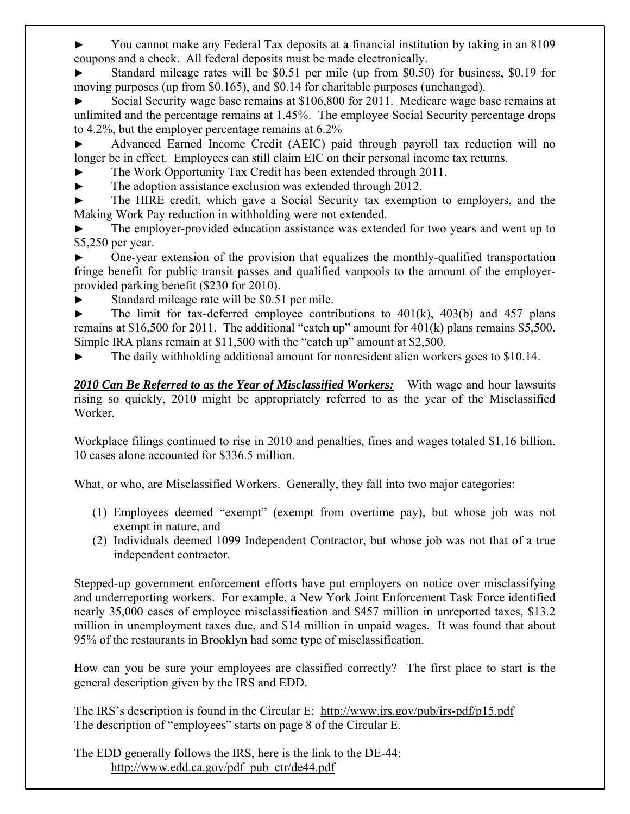► You cannot make any Federal Tax deposits at a financial institution by taking in an 8109 coupons and a check. All federal deposits must be made electronically.

► Standard mileage rates will be \$0.51 per mile (up from \$0.50) for business, \$0.19 for moving purposes (up from \$0.165), and \$0.14 for charitable purposes (unchanged).

Social Security wage base remains at \$106,800 for 2011. Medicare wage base remains at unlimited and the percentage remains at 1.45%. The employee Social Security percentage drops to 4.2%, but the employer percentage remains at 6.2%

Advanced Earned Income Credit (AEIC) paid through payroll tax reduction will no longer be in effect. Employees can still claim EIC on their personal income tax returns.

- The Work Opportunity Tax Credit has been extended through 2011.
- The adoption assistance exclusion was extended through 2012.

The HIRE credit, which gave a Social Security tax exemption to employers, and the Making Work Pay reduction in withholding were not extended.

The employer-provided education assistance was extended for two years and went up to \$5,250 per year.

One-year extension of the provision that equalizes the monthly-qualified transportation fringe benefit for public transit passes and qualified vanpools to the amount of the employerprovided parking benefit (\$230 for 2010).

► Standard mileage rate will be \$0.51 per mile.

 $\blacktriangleright$  The limit for tax-deferred employee contributions to 401(k), 403(b) and 457 plans remains at \$16,500 for 2011. The additional "catch up" amount for 401(k) plans remains \$5,500. Simple IRA plans remain at \$11,500 with the "catch up" amount at \$2,500.

The daily withholding additional amount for nonresident alien workers goes to \$10.14.

*2010 Can Be Referred to as the Year of Misclassified Workers:* With wage and hour lawsuits rising so quickly, 2010 might be appropriately referred to as the year of the Misclassified Worker.

Workplace filings continued to rise in 2010 and penalties, fines and wages totaled \$1.16 billion. 10 cases alone accounted for \$336.5 million.

What, or who, are Misclassified Workers. Generally, they fall into two major categories:

- (1) Employees deemed "exempt" (exempt from overtime pay), but whose job was not exempt in nature, and
- (2) Individuals deemed 1099 Independent Contractor, but whose job was not that of a true independent contractor.

Stepped-up government enforcement efforts have put employers on notice over misclassifying and underreporting workers. For example, a New York Joint Enforcement Task Force identified nearly 35,000 cases of employee misclassification and \$457 million in unreported taxes, \$13.2 million in unemployment taxes due, and \$14 million in unpaid wages. It was found that about 95% of the restaurants in Brooklyn had some type of misclassification.

How can you be sure your employees are classified correctly? The first place to start is the general description given by the IRS and EDD.

The IRS's description is found in the Circular E: <http://www.irs.gov/pub/irs-pdf/p15.pdf> The description of "employees" starts on page 8 of the Circular E.

The EDD generally follows the IRS, here is the link to the DE-44: [http://www.edd.ca.gov/pdf\\_pub\\_ctr/de44.pdf](http://www.edd.ca.gov/pdf_pub_ctr/de44.pdf)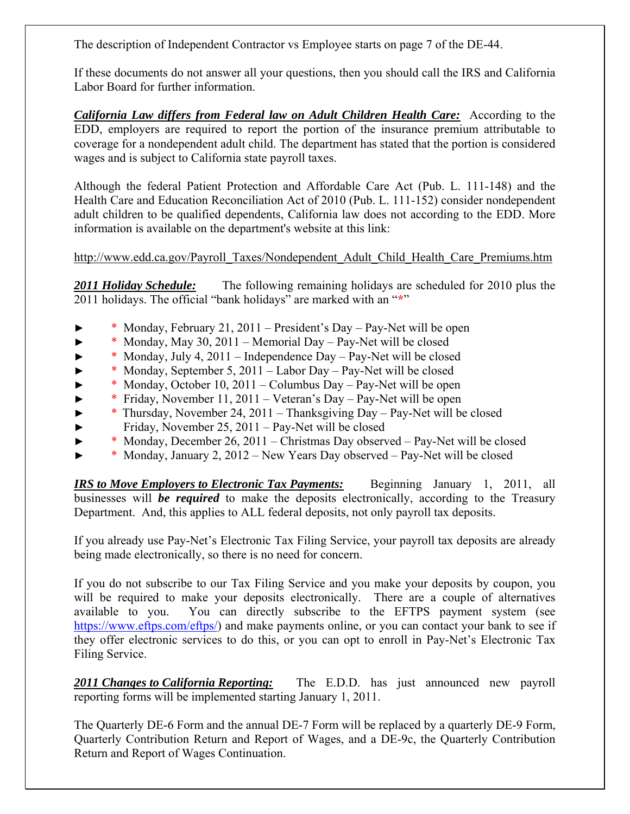The description of Independent Contractor vs Employee starts on page 7 of the DE-44.

If these documents do not answer all your questions, then you should call the IRS and California Labor Board for further information.

*California Law differs from Federal law on Adult Children Health Care:* According to the EDD, employers are required to report the portion of the insurance premium attributable to coverage for a nondependent adult child. The department has stated that the portion is considered wages and is subject to California state payroll taxes.

Although the federal Patient Protection and Affordable Care Act (Pub. L. 111-148) and the Health Care and Education Reconciliation Act of 2010 (Pub. L. 111-152) consider nondependent adult children to be qualified dependents, California law does not according to the EDD. More information is available on the [department's website at](http://www.edd.ca.gov/Payroll_Taxes/Nondependent_Adult_Child_Health_Care_Premiums.htm) this link:

[http://www.edd.ca.gov/Payroll\\_Taxes/Nondependent\\_Adult\\_Child\\_Health\\_Care\\_Premiums.htm](http://www.edd.ca.gov/Payroll_Taxes/Nondependent_Adult_Child_Health_Care_Premiums.htm)

**2011 Holiday Schedule:** The following remaining holidays are scheduled for 2010 plus the 2011 holidays. The official "bank holidays" are marked with an "**\***"

- ► \* Monday, February 21, 2011 President's Day Pay-Net will be open
- ► \* Monday, May 30, 2011 Memorial Day Pay-Net will be closed
- ► \* Monday, July 4, 2011 Independence Day Pay-Net will be closed
- \* Monday, September 5, 2011 Labor Day Pay-Net will be closed
- ► \* Monday, October 10, 2011 Columbus Day Pay-Net will be open
- ► \* Friday, November 11, 2011 Veteran's Day Pay-Net will be open
- ► \* Thursday, November 24, 2011 Thanksgiving Day Pay-Net will be closed
- ► Friday, November 25, 2011 Pay-Net will be closed
- ► \* Monday, December 26, 2011 Christmas Day observed Pay-Net will be closed
- ► \* Monday, January 2, 2012 New Years Day observed Pay-Net will be closed

*IRS to Move Employers to Electronic Tax Payments:* Beginning January 1, 2011, all businesses will *be required* to make the deposits electronically, according to the Treasury Department. And, this applies to ALL federal deposits, not only payroll tax deposits.

If you already use Pay-Net's Electronic Tax Filing Service, your payroll tax deposits are already being made electronically, so there is no need for concern.

If you do not subscribe to our Tax Filing Service and you make your deposits by coupon, you will be required to make your deposits electronically. There are a couple of alternatives available to you. You can directly subscribe to the EFTPS payment system (see <https://www.eftps.com/eftps/>) and make payments online, or you can contact your bank to see if they offer electronic services to do this, or you can opt to enroll in Pay-Net's Electronic Tax Filing Service.

*2011 Changes to California Reporting:* The E.D.D. has just announced new payroll reporting forms will be implemented starting January 1, 2011.

The Quarterly DE-6 Form and the annual DE-7 Form will be replaced by a quarterly DE-9 Form, Quarterly Contribution Return and Report of Wages, and a DE-9c, the Quarterly Contribution Return and Report of Wages Continuation.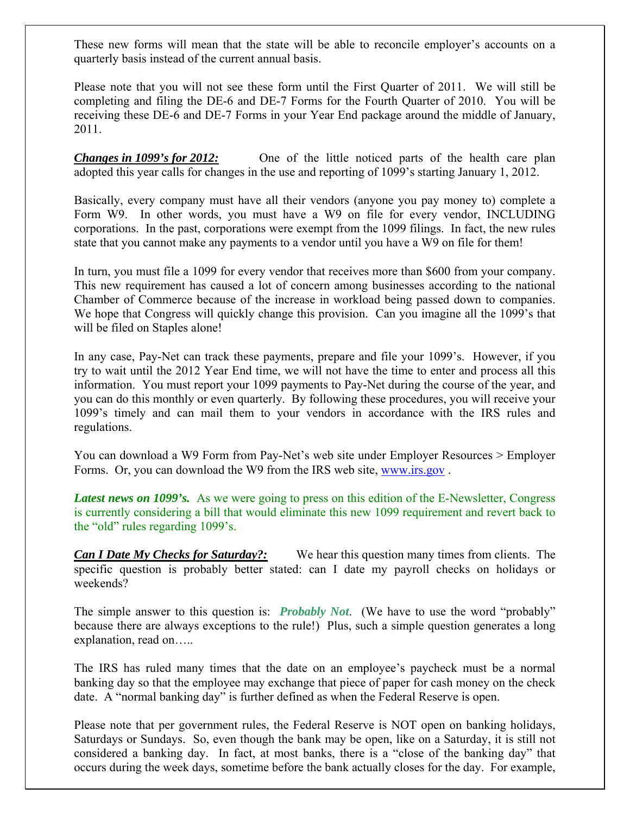These new forms will mean that the state will be able to reconcile employer's accounts on a quarterly basis instead of the current annual basis.

Please note that you will not see these form until the First Quarter of 2011. We will still be completing and filing the DE-6 and DE-7 Forms for the Fourth Quarter of 2010. You will be receiving these DE-6 and DE-7 Forms in your Year End package around the middle of January, 2011.

*Changes in 1099's for 2012:* One of the little noticed parts of the health care plan adopted this year calls for changes in the use and reporting of 1099's starting January 1, 2012.

Basically, every company must have all their vendors (anyone you pay money to) complete a Form W9. In other words, you must have a W9 on file for every vendor, INCLUDING corporations. In the past, corporations were exempt from the 1099 filings. In fact, the new rules state that you cannot make any payments to a vendor until you have a W9 on file for them!

In turn, you must file a 1099 for every vendor that receives more than \$600 from your company. This new requirement has caused a lot of concern among businesses according to the national Chamber of Commerce because of the increase in workload being passed down to companies. We hope that Congress will quickly change this provision. Can you imagine all the 1099's that will be filed on Staples alone!

In any case, Pay-Net can track these payments, prepare and file your 1099's. However, if you try to wait until the 2012 Year End time, we will not have the time to enter and process all this information. You must report your 1099 payments to Pay-Net during the course of the year, and you can do this monthly or even quarterly. By following these procedures, you will receive your 1099's timely and can mail them to your vendors in accordance with the IRS rules and regulations.

You can download a W9 Form from Pay-Net's web site under Employer Resources > Employer Forms. Or, you can download the W9 from the IRS web site, [www.irs.gov](http://www.irs.gov/) .

*Latest news on 1099's.* As we were going to press on this edition of the E-Newsletter, Congress is currently considering a bill that would eliminate this new 1099 requirement and revert back to the "old" rules regarding 1099's.

*Can I Date My Checks for Saturday?:* We hear this question many times from clients. The specific question is probably better stated: can I date my payroll checks on holidays or weekends?

The simple answer to this question is: *Probably Not*. (We have to use the word "probably" because there are always exceptions to the rule!) Plus, such a simple question generates a long explanation, read on…..

The IRS has ruled many times that the date on an employee's paycheck must be a normal banking day so that the employee may exchange that piece of paper for cash money on the check date. A "normal banking day" is further defined as when the Federal Reserve is open.

Please note that per government rules, the Federal Reserve is NOT open on banking holidays, Saturdays or Sundays. So, even though the bank may be open, like on a Saturday, it is still not considered a banking day. In fact, at most banks, there is a "close of the banking day" that occurs during the week days, sometime before the bank actually closes for the day. For example,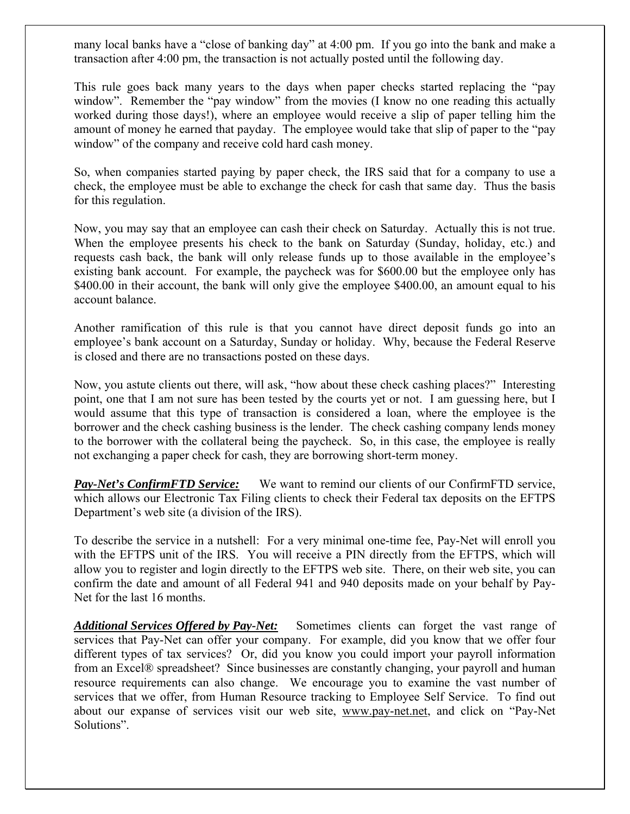many local banks have a "close of banking day" at 4:00 pm. If you go into the bank and make a transaction after 4:00 pm, the transaction is not actually posted until the following day.

This rule goes back many years to the days when paper checks started replacing the "pay window". Remember the "pay window" from the movies (I know no one reading this actually worked during those days!), where an employee would receive a slip of paper telling him the amount of money he earned that payday. The employee would take that slip of paper to the "pay window" of the company and receive cold hard cash money.

So, when companies started paying by paper check, the IRS said that for a company to use a check, the employee must be able to exchange the check for cash that same day. Thus the basis for this regulation.

Now, you may say that an employee can cash their check on Saturday. Actually this is not true. When the employee presents his check to the bank on Saturday (Sunday, holiday, etc.) and requests cash back, the bank will only release funds up to those available in the employee's existing bank account. For example, the paycheck was for \$600.00 but the employee only has \$400.00 in their account, the bank will only give the employee \$400.00, an amount equal to his account balance.

Another ramification of this rule is that you cannot have direct deposit funds go into an employee's bank account on a Saturday, Sunday or holiday. Why, because the Federal Reserve is closed and there are no transactions posted on these days.

Now, you astute clients out there, will ask, "how about these check cashing places?" Interesting point, one that I am not sure has been tested by the courts yet or not. I am guessing here, but I would assume that this type of transaction is considered a loan, where the employee is the borrower and the check cashing business is the lender. The check cashing company lends money to the borrower with the collateral being the paycheck. So, in this case, the employee is really not exchanging a paper check for cash, they are borrowing short-term money.

*Pay-Net's ConfirmFTD Service:* We want to remind our clients of our ConfirmFTD service, which allows our Electronic Tax Filing clients to check their Federal tax deposits on the EFTPS Department's web site (a division of the IRS).

To describe the service in a nutshell: For a very minimal one-time fee, Pay-Net will enroll you with the EFTPS unit of the IRS. You will receive a PIN directly from the EFTPS, which will allow you to register and login directly to the EFTPS web site. There, on their web site, you can confirm the date and amount of all Federal 941 and 940 deposits made on your behalf by Pay-Net for the last 16 months.

*Additional Services Offered by Pay-Net:* Sometimes clients can forget the vast range of services that Pay-Net can offer your company. For example, did you know that we offer four different types of tax services? Or, did you know you could import your payroll information from an Excel® spreadsheet? Since businesses are constantly changing, your payroll and human resource requirements can also change. We encourage you to examine the vast number of services that we offer, from Human Resource tracking to Employee Self Service. To find out about our expanse of services visit our web site, [www.pay-net.net,](http://www.pay-net.net/) and click on "Pay-Net Solutions".